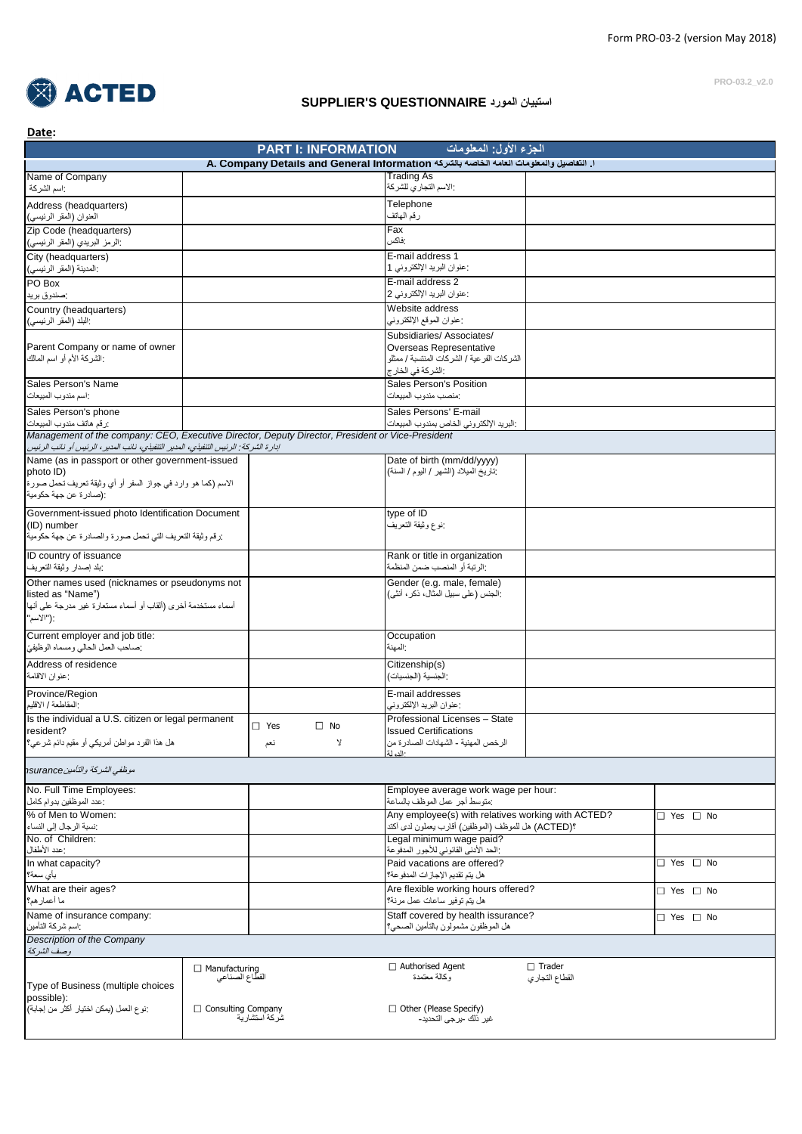

## **SUPPLIER'S QUESTIONNAIRE المورد استبيان**

**PRO-03.2\_v2.0**

|                                                                                                                                                                                                                                                                                                                   |                                             | <b>PART I: INFORMATION</b> | الجزء الأول: المعلومات                                                                  |                |                      |
|-------------------------------------------------------------------------------------------------------------------------------------------------------------------------------------------------------------------------------------------------------------------------------------------------------------------|---------------------------------------------|----------------------------|-----------------------------------------------------------------------------------------|----------------|----------------------|
|                                                                                                                                                                                                                                                                                                                   |                                             |                            | ا. التفاصيل والمعلومات العامه الخاصه بالشركة A. Company Details and General Information |                |                      |
| Name of Company                                                                                                                                                                                                                                                                                                   |                                             |                            | <b>Trading As</b>                                                                       |                |                      |
| : اسم الشركة                                                                                                                                                                                                                                                                                                      |                                             |                            | الاسم التجاري للشركة                                                                    |                |                      |
| Address (headquarters)                                                                                                                                                                                                                                                                                            |                                             |                            | Telephone                                                                               |                |                      |
| العنوان (المقر الرئيسي)                                                                                                                                                                                                                                                                                           |                                             |                            | رقم الهاتف                                                                              |                |                      |
| Zip Code (headquarters)                                                                                                                                                                                                                                                                                           |                                             |                            | Fax                                                                                     |                |                      |
| :الرمز البريدي (المقر الرئيسي)                                                                                                                                                                                                                                                                                    |                                             |                            | :فاكس                                                                                   |                |                      |
| City (headquarters)                                                                                                                                                                                                                                                                                               |                                             |                            | E-mail address 1                                                                        |                |                      |
| :المدينة (المقر الرئيسي)                                                                                                                                                                                                                                                                                          |                                             |                            | :عنوان البريد الإلكتروني 1                                                              |                |                      |
| PO Box                                                                                                                                                                                                                                                                                                            |                                             |                            | E-mail address 2                                                                        |                |                      |
| :صندوق بريد                                                                                                                                                                                                                                                                                                       |                                             |                            | :عنوان البريد الإلكتروني 2                                                              |                |                      |
| Country (headquarters)                                                                                                                                                                                                                                                                                            |                                             |                            | Website address                                                                         |                |                      |
| :البلد (المقر الرئيسى)                                                                                                                                                                                                                                                                                            |                                             |                            | :عنوان الموقع الإلكتروني                                                                |                |                      |
|                                                                                                                                                                                                                                                                                                                   |                                             |                            | Subsidiaries/Associates/                                                                |                |                      |
| Parent Company or name of owner                                                                                                                                                                                                                                                                                   |                                             |                            | Overseas Representative                                                                 |                |                      |
| :الشركة الأم أو اسم المالك                                                                                                                                                                                                                                                                                        |                                             |                            | الشر كات الفر عية / الشر كات المنتسبة / ممثلو                                           |                |                      |
|                                                                                                                                                                                                                                                                                                                   |                                             |                            | :الشركة في الخار ج                                                                      |                |                      |
| Sales Person's Name                                                                                                                                                                                                                                                                                               |                                             |                            | Sales Person's Position                                                                 |                |                      |
| واسم مندوب المبيعات                                                                                                                                                                                                                                                                                               |                                             |                            | :منصب مندوب المبيعات                                                                    |                |                      |
|                                                                                                                                                                                                                                                                                                                   |                                             |                            |                                                                                         |                |                      |
| Sales Person's phone                                                                                                                                                                                                                                                                                              |                                             |                            | Sales Persons' E-mail                                                                   |                |                      |
| رزقم هاتف مندوب المبيعات<br>Management of the company: CEO, Executive Director, Deputy Director, President or Vice-President                                                                                                                                                                                      |                                             |                            | البريد الإلكتروني الخاص بمندوب المبيعات                                                 |                |                      |
| ادارة الشركة : الرئيس التنفيذي، المدير التنفيذي، نائب المدير ، الرئيس أو نائب الرئيس                                                                                                                                                                                                                              |                                             |                            |                                                                                         |                |                      |
| Name (as in passport or other government-issued                                                                                                                                                                                                                                                                   |                                             |                            | Date of birth (mm/dd/yyyy)                                                              |                |                      |
| photo ID)                                                                                                                                                                                                                                                                                                         |                                             |                            | تاريخ الميلاد (الشهر / اليوم / السنة)                                                   |                |                      |
| الاسم (كما هو وارد في جواز السفر أو أي وثيقة تعريف تحمل صورة                                                                                                                                                                                                                                                      |                                             |                            |                                                                                         |                |                      |
| :(صادر ة عن جهة حكومية                                                                                                                                                                                                                                                                                            |                                             |                            |                                                                                         |                |                      |
|                                                                                                                                                                                                                                                                                                                   |                                             |                            |                                                                                         |                |                      |
| Government-issued photo Identification Document                                                                                                                                                                                                                                                                   |                                             |                            | type of ID                                                                              |                |                      |
| (ID) number                                                                                                                                                                                                                                                                                                       |                                             |                            | :نوع وثيقة التعريف                                                                      |                |                      |
| زرقم وثيقة التعريف التي تحمل صورة والصادرة عن جهة حكومية                                                                                                                                                                                                                                                          |                                             |                            |                                                                                         |                |                      |
| ID country of issuance                                                                                                                                                                                                                                                                                            |                                             |                            | Rank or title in organization                                                           |                |                      |
| بلد إصدار وثيقة التعريف                                                                                                                                                                                                                                                                                           |                                             |                            | :الرتبة أو المنصب ضمن المنظمة                                                           |                |                      |
| listed as "Name")                                                                                                                                                                                                                                                                                                 |                                             |                            |                                                                                         |                |                      |
|                                                                                                                                                                                                                                                                                                                   |                                             |                            | :الجنس (على سبيل المثال، ذكر ، أنثى)                                                    |                |                      |
|                                                                                                                                                                                                                                                                                                                   |                                             |                            | Occupation<br>المهنة:                                                                   |                |                      |
|                                                                                                                                                                                                                                                                                                                   |                                             |                            | Citizenship(s)                                                                          |                |                      |
|                                                                                                                                                                                                                                                                                                                   |                                             |                            | الجنسية (الجنسيات)                                                                      |                |                      |
|                                                                                                                                                                                                                                                                                                                   |                                             |                            |                                                                                         |                |                      |
|                                                                                                                                                                                                                                                                                                                   |                                             |                            | E-mail addresses                                                                        |                |                      |
|                                                                                                                                                                                                                                                                                                                   |                                             |                            | :عنوان البريد الإلكتروني                                                                |                |                      |
| أسماء مستخدمة أخرى (ألقاب أو أسماء مستعارة غير مدرجة على أنها<br>"("الأسم"<br>Current employer and job title:<br>:صاحب العمل الحالي ومسماه الوظيفيّ<br>Address of residence<br>: عنوان الاقامة<br>Province/Region<br>:المقاطعة / الاقليم<br>Is the individual a U.S. citizen or legal permanent                   | $\Box$ Yes                                  | $\square$ No               | Professional Licenses - State                                                           |                |                      |
| resident?                                                                                                                                                                                                                                                                                                         |                                             | $\mathbf{y}$               | <b>Issued Certifications</b>                                                            |                |                      |
|                                                                                                                                                                                                                                                                                                                   | نعم                                         |                            | الرخص المهنية - الشهادات الصادرة من<br>$1.1 -$                                          |                |                      |
| هل هذا الفرد مواطن أمريكي أو مقيم دائم شرعي؟<br>موظفي الشركة والتأمينnsurance                                                                                                                                                                                                                                     |                                             |                            |                                                                                         |                |                      |
|                                                                                                                                                                                                                                                                                                                   |                                             |                            | Employee average work wage per hour:                                                    |                |                      |
|                                                                                                                                                                                                                                                                                                                   |                                             |                            | منوسط أجر عمل الموظف بالساعة                                                            |                |                      |
|                                                                                                                                                                                                                                                                                                                   |                                             |                            | Any employee(s) with relatives working with ACTED?                                      |                | $\Box$ Yes $\Box$ No |
|                                                                                                                                                                                                                                                                                                                   |                                             |                            | ؟(ACTED) هل للموظف (الموظفين) أقارب يعملون لدى أكتد                                     |                |                      |
|                                                                                                                                                                                                                                                                                                                   |                                             |                            | Legal minimum wage paid?                                                                |                |                      |
|                                                                                                                                                                                                                                                                                                                   |                                             |                            | الحد الأدني القانوني للأجور المدفوعة                                                    |                |                      |
|                                                                                                                                                                                                                                                                                                                   |                                             |                            | Paid vacations are offered?                                                             |                | $\Box$ Yes $\Box$ No |
|                                                                                                                                                                                                                                                                                                                   |                                             |                            | هل يتم تقديم الإجاز ات المدفو عة؟                                                       |                |                      |
|                                                                                                                                                                                                                                                                                                                   |                                             |                            | Are flexible working hours offered?                                                     |                | $\Box$ Yes $\Box$ No |
|                                                                                                                                                                                                                                                                                                                   |                                             |                            | هل يتم توفير ساعات عمل مرنة؟                                                            |                |                      |
|                                                                                                                                                                                                                                                                                                                   |                                             |                            | Staff covered by health issurance?                                                      |                |                      |
|                                                                                                                                                                                                                                                                                                                   |                                             |                            | هل الموظفون مشمولون بالتأمين الصحي؟                                                     |                | □ Yes □ No           |
|                                                                                                                                                                                                                                                                                                                   |                                             |                            |                                                                                         |                |                      |
|                                                                                                                                                                                                                                                                                                                   |                                             |                            |                                                                                         |                |                      |
| No. Full Time Employees:<br>:عدد الموظفين بدوام كامل<br>% of Men to Women:<br>:نسبة الرجال إلى النساء<br>No. of Children:<br>·عدد الأطفال<br>In what capacity?<br>بأي سعة؟<br>What are their ages?<br>ما أعمار هم؟<br>Name of insurance company:<br>:اسم شركة التأمين<br>Description of the Company<br>وصف الشركة | $\Box$ Manufacturing                        |                            | $\Box$ Authorised Agent                                                                 | $\Box$ Trader  |                      |
| Type of Business (multiple choices                                                                                                                                                                                                                                                                                | القطاع الصناعى                              |                            | وكالة معتمدة                                                                            | القطاع التجاري |                      |
| possible):                                                                                                                                                                                                                                                                                                        |                                             |                            |                                                                                         |                |                      |
| ·نوع العمل (يمكن اختيار أكثر من إجابة)                                                                                                                                                                                                                                                                            | $\Box$ Consulting Company<br>شُركة استشارية |                            | $\Box$ Other (Please Specify)<br>غير ذلك -يرجى التحديد-                                 |                |                      |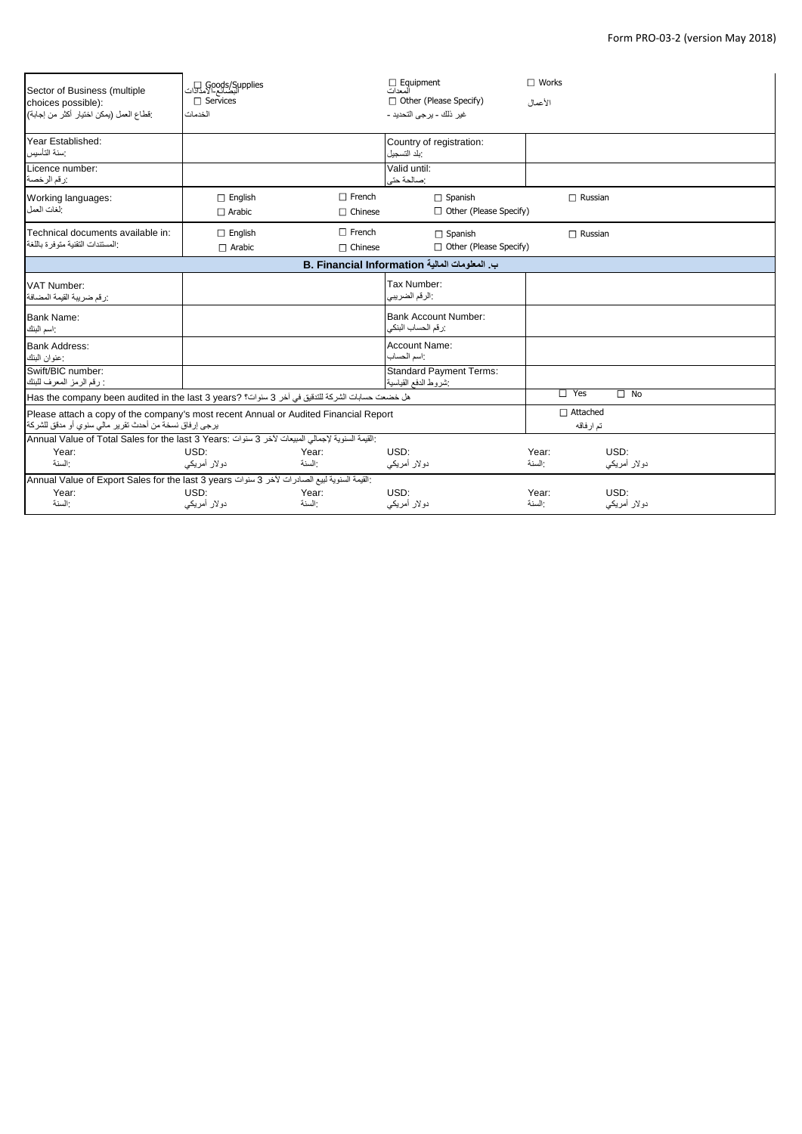| Sector of Business (multiple<br>choices possible):<br>·قطاع العمل (يمكن اختيار  أكثر  من إجابة)                                                  | Goods/Supplies<br>النصائع-الامدادات<br>□ Services<br>الخدمات |                                 | Equipment<br>المعدات<br>□ Other (Please Specify)<br>غير  ذلك – بر جي التحديد – | $\Box$ Works<br>الأعمال       |                      |
|--------------------------------------------------------------------------------------------------------------------------------------------------|--------------------------------------------------------------|---------------------------------|--------------------------------------------------------------------------------|-------------------------------|----------------------|
| Year Established:<br>سنة التأسيس                                                                                                                 |                                                              |                                 | Country of registration:<br>بلد التسجيل                                        |                               |                      |
| Licence number:<br>رزقم الرخصة                                                                                                                   |                                                              |                                 | Valid until:<br>:صالحة حتى                                                     |                               |                      |
| Working languages:<br>الغات العمل                                                                                                                | $\Box$ English<br>$\Box$ Arabic                              | $\Box$ French<br>$\Box$ Chinese | $\Box$ Spanish<br>$\Box$ Other (Please Specify)                                | $\Box$ Russian                |                      |
| Technical documents available in:<br>المستندات التقنية متوفر ة باللغة                                                                            | $\Box$ English<br>$\Box$ Arabic                              | $\Box$ French<br>$\Box$ Chinese | $\Box$ Spanish<br>□ Other (Please Specify)                                     | $\Box$ Russian                |                      |
| ب المعلومات المالية B. Financial Information                                                                                                     |                                                              |                                 |                                                                                |                               |                      |
| VAT Number:<br>رزقم ضريبة القيمة المضافة                                                                                                         |                                                              |                                 | Tax Number:<br>:الرقم الضريبي                                                  |                               |                      |
| <b>Bank Name:</b><br>اسم البنك                                                                                                                   |                                                              |                                 | <b>Bank Account Number:</b><br>رزقم الحساب البنكى                              |                               |                      |
| <b>Bank Address:</b><br>:عنوان البنك                                                                                                             |                                                              |                                 | Account Name:<br>: اسم الحساب                                                  |                               |                      |
| Swift/BIC number:<br>: رقم الرمز المعرف للبنك                                                                                                    |                                                              |                                 | <b>Standard Payment Terms:</b><br>شروط الدفع القياسية                          |                               |                      |
| هل خضعت حسابات الشركة للتنقيق في آخر 3 سنوات؟ Has the company been audited in the last 3 years? [                                                |                                                              |                                 |                                                                                | Yes<br>$\Box$                 | $\Box$ No            |
| Please attach a copy of the company's most recent Annual or Audited Financial Report<br>يرجى إرفاق نسخة من أحدث تقرير مالي سنوي أو مدقق للشركة ا |                                                              |                                 |                                                                                | $\Box$ Attached<br>تم ار فاقه |                      |
| : القيمة السنوية لإجمالي المبيعات لأخر 3 سنوات :Annual Value of Total Sales for the last 3 Years                                                 |                                                              |                                 |                                                                                |                               |                      |
| Year:<br>السنة                                                                                                                                   | USD:<br>دو لار أمريكي                                        | Year:<br>السنة                  | USD:<br>دولار أمريكي                                                           | Year:<br>السنة                | USD:<br>دولار أمريكي |
| : القيمة السنوية لبيع الصادرات لآخر 3 سنوات Annual Value of Export Sales for the last 3 years                                                    |                                                              |                                 |                                                                                |                               |                      |
| Year:<br>:السنة                                                                                                                                  | USD:<br>دو لار أمريكي                                        | Year:<br>السنة                  | USD:<br>دولار أمريكي                                                           | Year:<br>:السنة               | USD:<br>دولار أمريكي |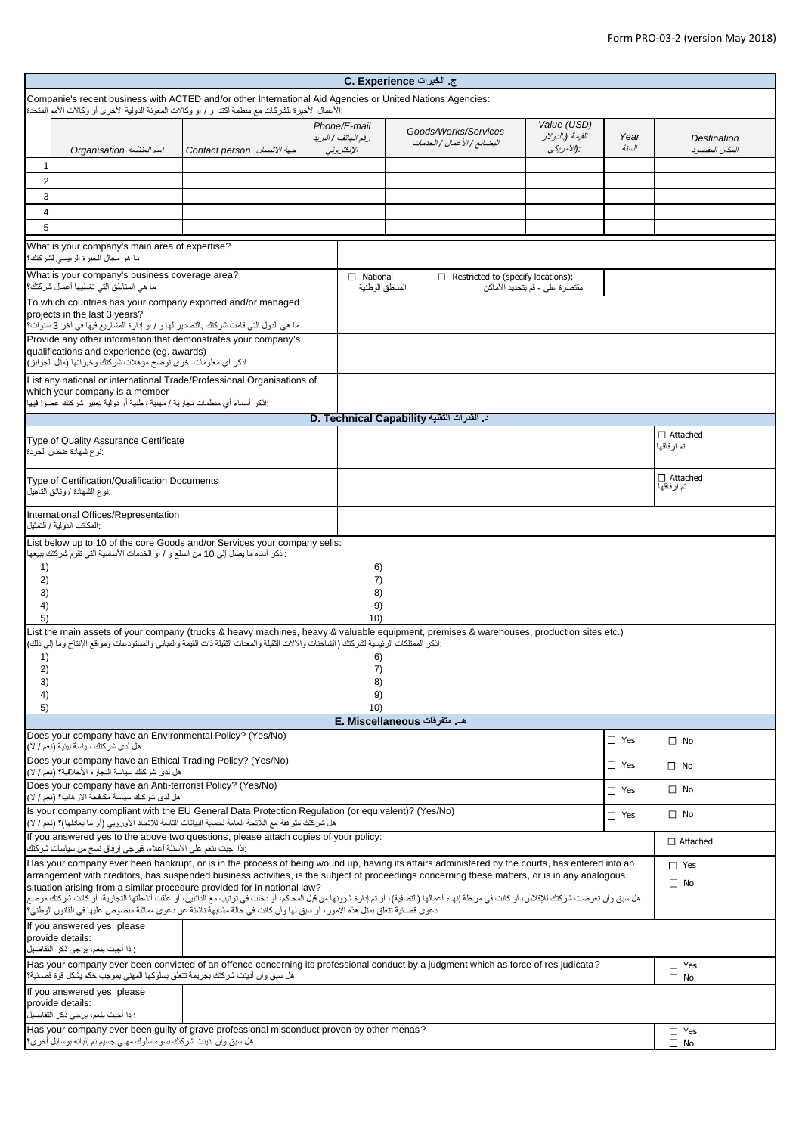| ج. الخبرات C. Experience                                                                                                                                                                                                                                                                         |                             |                                                   |                                                     |                                               |               |                                |
|--------------------------------------------------------------------------------------------------------------------------------------------------------------------------------------------------------------------------------------------------------------------------------------------------|-----------------------------|---------------------------------------------------|-----------------------------------------------------|-----------------------------------------------|---------------|--------------------------------|
| Companie's recent business with ACTED and/or other International Aid Agencies or United Nations Agencies:                                                                                                                                                                                        |                             |                                                   |                                                     |                                               |               |                                |
| :الأعمال الأخيرة للشركات مع منظمة أكتد و / أو وكالات المعونة الدولية الأخرى أو وكالات الأمم المتحدة                                                                                                                                                                                              |                             |                                                   |                                                     |                                               |               |                                |
| Organisation أسم المنظمة                                                                                                                                                                                                                                                                         | Contact person حبهة الاتصال | Phone/E-mail<br>رقم الهاتف / البريد<br>الإلكتروني | Goods/Works/Services<br>البضائع   الأعمال   الخدمات | Value (USD)<br>القيمة (بالدولار<br>:(الأمريكي | Year<br>السنة | Destination<br>المكان المقصود  |
| 1<br>$\overline{c}$                                                                                                                                                                                                                                                                              |                             |                                                   |                                                     |                                               |               |                                |
| 3                                                                                                                                                                                                                                                                                                |                             |                                                   |                                                     |                                               |               |                                |
| $\overline{\mathbf{4}}$                                                                                                                                                                                                                                                                          |                             |                                                   |                                                     |                                               |               |                                |
| 5                                                                                                                                                                                                                                                                                                |                             |                                                   |                                                     |                                               |               |                                |
| What is your company's main area of expertise?<br>ما هو مجال الخبرة الرئيسي لشركتك؟                                                                                                                                                                                                              |                             |                                                   |                                                     |                                               |               |                                |
| What is your company's business coverage area?<br>ما هي المناطق التي تغطيها أعمال شركتك؟                                                                                                                                                                                                         |                             | $\Box$ National<br>المناطق الوطنية                | $\Box$ Restricted to (specify locations):           | مقتصرة على - قم بتحديد الأماكن                |               |                                |
| To which countries has your company exported and/or managed<br>projects in the last 3 years?                                                                                                                                                                                                     |                             |                                                   |                                                     |                                               |               |                                |
| ما هي الدول التي قامت شركتك بالتصدير لها و / أو إدارة المشاريع فيها في آخر 3 سنوات؟                                                                                                                                                                                                              |                             |                                                   |                                                     |                                               |               |                                |
| Provide any other information that demonstrates your company's<br>qualifications and experience (eq. awards)<br>اذكر أي معلومات أخرى توضح مؤهلات شركتك وخبراتها (مثل الجوائز)                                                                                                                    |                             |                                                   |                                                     |                                               |               |                                |
| List any national or international Trade/Professional Organisations of                                                                                                                                                                                                                           |                             |                                                   |                                                     |                                               |               |                                |
| which your company is a member<br>:اذكر أسماء أي منظمات تجارية / مهنية وطنية أو دولية تعتبر شركتك عضوًا فيها                                                                                                                                                                                     |                             |                                                   |                                                     |                                               |               |                                |
|                                                                                                                                                                                                                                                                                                  |                             |                                                   | د. القدرات التقنية D. Technical Capability          |                                               |               |                                |
| Type of Quality Assurance Certificate<br>نوع شهادة ضمان الجودة                                                                                                                                                                                                                                   |                             |                                                   |                                                     |                                               |               | $\Box$ Attached<br>تم ار فاقها |
| Type of Certification/Qualification Documents<br>:نوع الشهادة / وثانق الناهيل                                                                                                                                                                                                                    |                             |                                                   |                                                     |                                               |               | $\Box$ Attached<br>تم ارفاقها  |
| International Offices/Representation<br>: المكاتب الدو لية / التمثيل                                                                                                                                                                                                                             |                             |                                                   |                                                     |                                               |               |                                |
| List below up to 10 of the core Goods and/or Services your company sells:<br>:اذكر أدناه ما يصل إلى 10 من السلع و / أو الخدمات الأساسية التي تقوم شركتك ببيعها                                                                                                                                   |                             |                                                   |                                                     |                                               |               |                                |
| 1)                                                                                                                                                                                                                                                                                               |                             | 6)                                                |                                                     |                                               |               |                                |
| 2)<br>3)                                                                                                                                                                                                                                                                                         |                             | 7)<br>8)                                          |                                                     |                                               |               |                                |
| 4)                                                                                                                                                                                                                                                                                               |                             | 9)                                                |                                                     |                                               |               |                                |
| 5)<br>List the main assets of your company (trucks & heavy machines, heavy & valuable equipment, premises & warehouses, production sites etc.)                                                                                                                                                   |                             | 10)                                               |                                                     |                                               |               |                                |
| :اذكر الممتلكات الرئيسية لشركتك (الشاحنات والألات الثقيلة والمعدات الثقيلة ذات القيمة والمباني والمستودعات ومواقع الإنتاج وما إلى ذلك)                                                                                                                                                           |                             |                                                   |                                                     |                                               |               |                                |
| 1)<br>2)                                                                                                                                                                                                                                                                                         |                             | 6)<br>7)                                          |                                                     |                                               |               |                                |
| 3)                                                                                                                                                                                                                                                                                               |                             | 8)                                                |                                                     |                                               |               |                                |
| 4)<br>5)                                                                                                                                                                                                                                                                                         |                             | 9)<br>10)                                         |                                                     |                                               |               |                                |
|                                                                                                                                                                                                                                                                                                  |                             |                                                   | هـ. متفرقات E. Miscellaneous                        |                                               |               |                                |
| Does your company have an Environmental Policy? (Yes/No)<br>هل لدى شركتك سياسة بيئية (نعم / لا)                                                                                                                                                                                                  |                             |                                                   |                                                     |                                               | $\Box$ Yes    | $\square$ No                   |
| Does your company have an Ethical Trading Policy? (Yes/No)<br>هل لدى شركتك سياسة التجارة الأخلاقية؟ (نعم / لا)                                                                                                                                                                                   |                             |                                                   |                                                     |                                               | $\Box$ Yes    | $\square$ No                   |
| Does your company have an Anti-terrorist Policy? (Yes/No)<br>$\Box$ Yes<br>هل لدى شركتك سياسة مكافحة الإر هاب؟ (نعم / لا)                                                                                                                                                                        |                             |                                                   |                                                     |                                               | $\square$ No  |                                |
| Is your company compliant with the EU General Data Protection Regulation (or equivalent)? (Yes/No)<br>هل شركتك متوافقة مع اللائحة العامة لحماية البيانات التابعة للاتحاد الأوروبي (أو ما يعادلها)؟ (نعم / لا)                                                                                    |                             |                                                   |                                                     |                                               | $\square$ Yes | $\square$ No                   |
| If you answered yes to the above two questions, please attach copies of your policy:<br>:إذا أجبت بنعم على الاسئلة أعلاه، فيرجى إرفاق نسخ من سياسات شركتك                                                                                                                                        |                             |                                                   |                                                     |                                               |               | $\Box$ Attached                |
| Has your company ever been bankrupt, or is in the process of being wound up, having its affairs administered by the courts, has entered into an<br>arrangement with creditors, has suspended business activities, is the subject of proceedings concerning these matters, or is in any analogous |                             |                                                   |                                                     |                                               |               | $\Box$ Yes                     |
| situation arising from a similar procedure provided for in national law?                                                                                                                                                                                                                         |                             |                                                   |                                                     |                                               |               | $\square$ No                   |
| هل سبق وأن تعرضت شركتك للإفلاس، أو كانت في مرحلة إنهاء أعمالها (التصفية)، أو تم إدراج أو مناسك الحائزي أو من الدائنين، أو علقت أنشطتها التجارية، أو كانت شركتك موضع<br>دعوى قضائية تتعلق بمثل هذه الأمور، أو سبق لها وأن كانت في حالة مشابهة ناشئة عن دعوى مماثلة منصوص عليها في القانون الوطني؟ |                             |                                                   |                                                     |                                               |               |                                |
| If you answered yes, please<br>provide details:<br>:إذا أجبت بنعم، يرجى ذكر التفاصيل                                                                                                                                                                                                             |                             |                                                   |                                                     |                                               |               |                                |
| Has your company ever been convicted of an offence concerning its professional conduct by a judgment which as force of res judicata?                                                                                                                                                             |                             |                                                   |                                                     |                                               |               | $\Box$ Yes                     |
| هل سبق وأن أدينت شركتك بجريمة تتعلق بسلوكها المهنى بموجب حكم يشكل قوة قضائية؟<br>If you answered yes, please                                                                                                                                                                                     |                             |                                                   |                                                     |                                               |               | $\Box$ No                      |
| provide details:<br>إذا أجبت بنعم، يرجى ذكر التفاصيل                                                                                                                                                                                                                                             |                             |                                                   |                                                     |                                               |               |                                |
| Has your company ever been guilty of grave professional misconduct proven by other menas?<br>هل سبق وأن أدينت شركتك بسوء سلوك مهنى جسيم تم إثباته بوسائل أخرى؟                                                                                                                                   |                             |                                                   |                                                     |                                               |               | $\Box$ Yes<br>$\Box$ No        |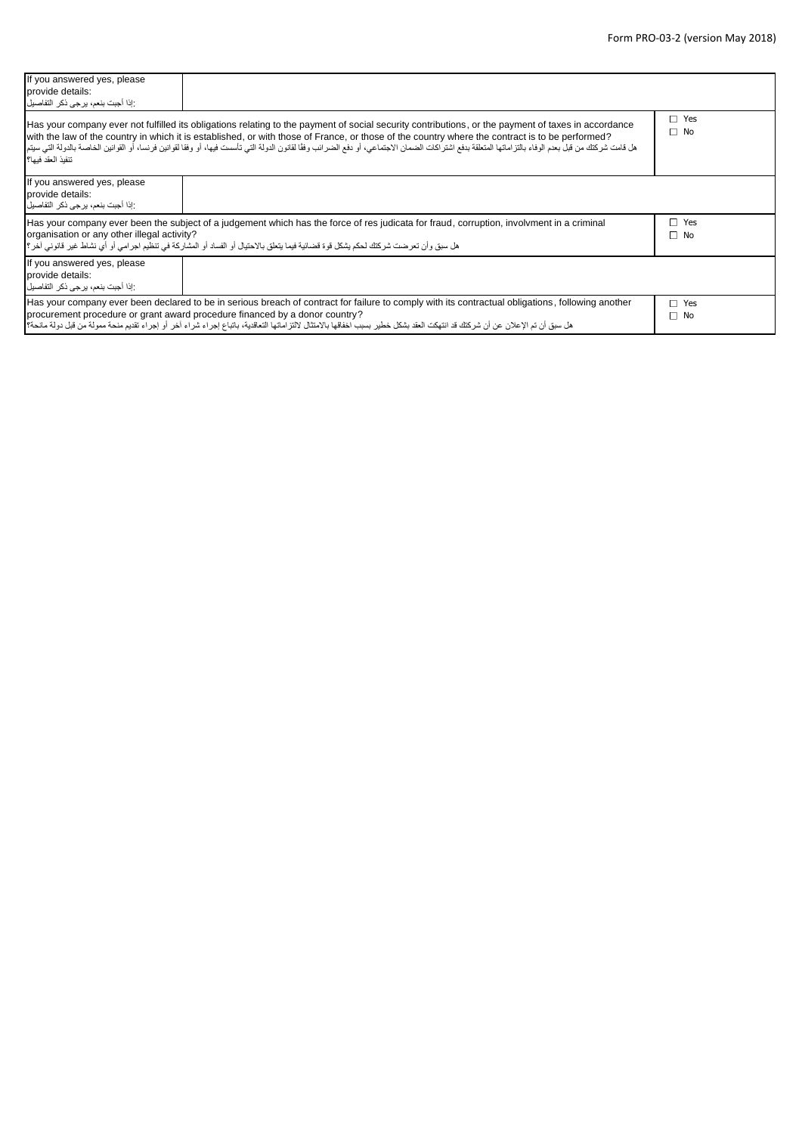| If you answered yes, please<br>provide details:<br>:إذا أجبت بنعم، يرجى ذكر التفاصيل ا |                                                                                                                                                                                                                                                                                                                                                                                                                                                                                                                  |                         |
|----------------------------------------------------------------------------------------|------------------------------------------------------------------------------------------------------------------------------------------------------------------------------------------------------------------------------------------------------------------------------------------------------------------------------------------------------------------------------------------------------------------------------------------------------------------------------------------------------------------|-------------------------|
| تتفيذ العقد فيها؟                                                                      | Has your company ever not fulfilled its obligations relating to the payment of social security contributions, or the payment of taxes in accordance<br>with the law of the country in which it is established, or with those of France, or those of the country where the contract is to be performed?<br>هل قامت شركتك من قبل بعدم الوفاء بالتزاماتها المتطقة بدفع اشتراك المناسات المتال المعامل المراشد القوانس الفاس والمع الوالغوان واغتالقوانين فرنسا، أو القوانين الضام الوانين الضاصة بالدولة التي سيتما | $\Box$ Yes<br>$\Box$ No |
| If you answered yes, please<br>provide details:<br>:إذا أجبت بنعم، يرجى ذكر التفاصيل   |                                                                                                                                                                                                                                                                                                                                                                                                                                                                                                                  |                         |
| organisation or any other illegal activity?                                            | Has your company ever been the subject of a judgement which has the force of res judicata for fraud, corruption, involvment in a criminal<br>هل سبق وأن تعرضت شركتك لحكم يشكل قوة قضائية فيما يتعلق بالاحتيال أو الفساد أو المشاركة في تنظيم اجرامي أو أي نشاط غير قانوني آخر؟                                                                                                                                                                                                                                   | $\Box$ Yes<br>$\Box$ No |
| If you answered yes, please<br>provide details:<br>:إذا أجبت بنعم، ير جي ذكر التفاصيل  |                                                                                                                                                                                                                                                                                                                                                                                                                                                                                                                  |                         |
|                                                                                        | Has your company ever been declared to be in serious breach of contract for failure to comply with its contractual obligations, following another<br>procurement procedure or grant award procedure financed by a donor country?<br>هل سبق أن تم الإعلان عن أن شركتك قد انتهكت العقد بشكل خطير بسبب اخفاقها بالامتثال لالتزاماتها باتباع اجراء شراء آخر أو إجراء تقديم منحة ممولة من قبل دولة مانحة ا                                                                                                            | $\Box$ Yes<br>$\Box$ No |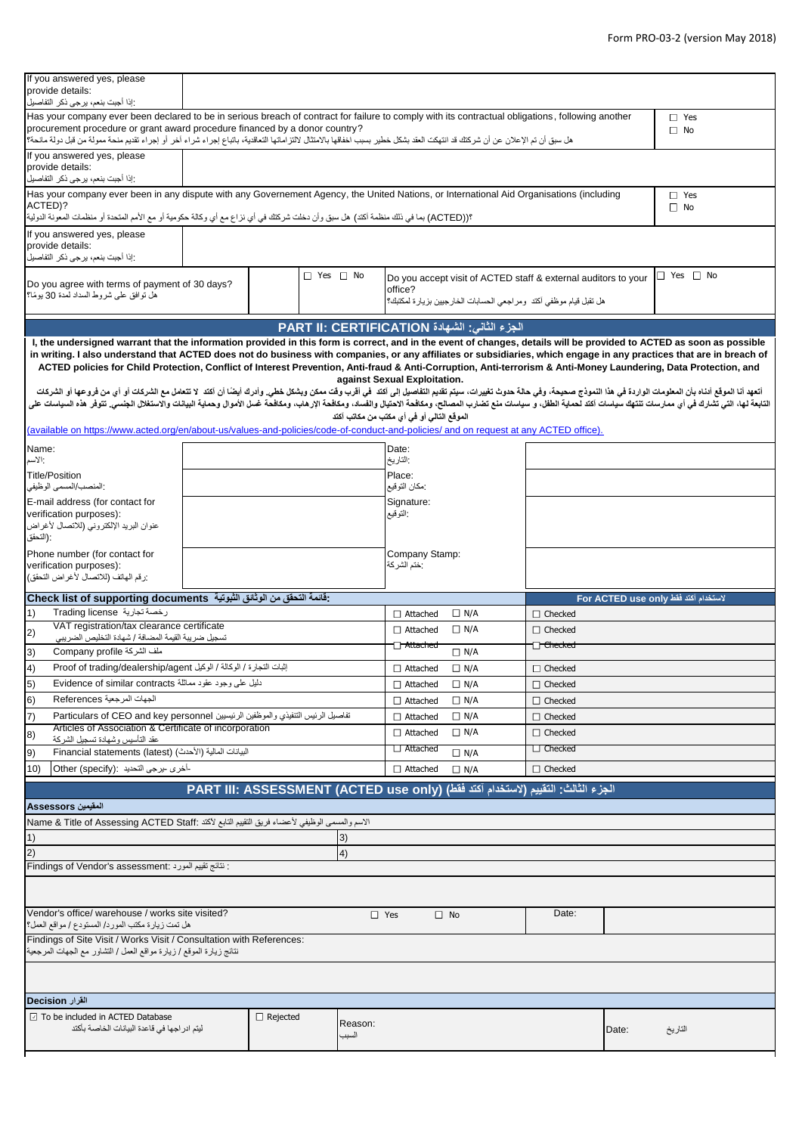| إذا أجبت بنعم، يرجى ذكر التفاصيل<br>Has your company ever been declared to be in serious breach of contract for failure to comply with its contractual obligations, following another<br>$\Box$ Yes<br>procurement procedure or grant award procedure financed by a donor country?<br>$\Box$ No<br>هل سبق أن تم الإعلان عن أن شركتك قد انتهكت العقد بشكل خطير بسبب اخفاقها بالامثال التحاقية التجاع بجراء شراء آخر أو إجراء تقديم منحة ممولة من قبل دولة مانحة؟<br>If you answered yes, please<br>provide details:<br>:إذا أجبت بنعم، يرجى ذكر التفاصيل<br>Has your company ever been in any dispute with any Governement Agency, the United Nations, or International Aid Organisations (including<br>$\Box$ Yes<br>ACTED)?<br>$\Box$ No<br>؟((ACTED) بما في ذلك منظمة أكتد) هل سبق وأن دخلت شركتك في أي نزاع مع أي وكالة حكومية أو مع الأمم المتحدة أو منظمات المعونة الدولية  <br>If you answered yes, please<br>provide details:<br>:إذا أجبت بنعم، يرجى ذكر التفاصيل<br>$\Box$ Yes $\Box$ No<br>$\Box$ Yes $\Box$ No<br>Do you accept visit of ACTED staff & external auditors to your<br>Do you agree with terms of payment of 30 days?<br>office?<br>هل توافق على شروط السداد لمدة 30 يومًا؟<br>هل تقبل قيام موظفى أكتد ومراجعي الحسابات الخارجيين بزيارة لمكتبك؟<br>الجزء الثاني: الشهادة PART II: CERTIFICATION<br>I, the undersigned warrant that the information provided in this form is correct, and in the event of changes, details will be provided to ACTED as soon as possible<br>in writing. I also understand that ACTED does not do business with companies, or any affiliates or subsidiaries, which engage in any practices that are in breach of<br>ACTED policies for Child Protection, Conflict of Interest Prevention, Anti-fraud & Anti-Corruption, Anti-terrorism & Anti-Money Laundering, Data Protection, and<br>against Sexual Exploitation.<br>أتعهد أنا الموقع أنناه بأن المعلومات الواردة في هذا النعوذج صحيحة، وفي حالة حدوث تغويث وسلم المعنى وأدرك أيضا أن أنتشح المركات وأن المنافض المراد وأي من فروعها أو الشرعات أوأي من فروعها أو الشرعات أو أي من فروعها أو الشركا<br>الثابعة لها، التي تشارك في أي ممارسات تنتهك سياسات آكند لحماية الطفل، وسلطت المعاسف المعلم المعالم الغال المعالم والمعافد المعالم والمعالم المعال وحماية البيانات والاستغلال الجنسي تتوفر هذه السياسات في أي ممارسات تنشارك في<br>الموقع التالي أو في أي مكتب من مكاتب آكتد<br>(available on https://www.acted.org/en/about-us/values-and-policies/code-of-conduct-and-policies/ and on request at any ACTED office).<br>Name:<br>Date:<br>:التاريخ<br>الأسم<br>Place:<br><b>Title/Position</b><br>:مكان التوقيع<br>:المنصب/المسمى الوظيفي<br>E-mail address (for contact for<br>Signature:<br>verification purposes):<br>: النوقيع<br>عنوان البريد الإلكتروني (للاتصال لأغراض<br>: (النحقق<br>Phone number (for contact for<br>Company Stamp:<br>:ختم الشركة<br>verification purposes):<br>رزقم الهاتف (للاتصال لأغراض التحقق)<br>: قَائِمَةَ النَّحْقَقِ مِنِ الْوِتْائِقِ الشِّبِوِتِيَةِ - Check list of supporting documents<br>لاستخدام آكتد فقط For ACTED use only<br>رخصة تجارية Trading license<br>1)<br>$\Box$ N/A<br>$\Box$ Checked<br>$\Box$ Attached<br>VAT registration/tax clearance certificate<br>$\Box$ N/A<br>$\Box$ Attached<br>$\Box$ Checked<br>2)<br>تسجيل ضريبة القيمة المضافة / شهادة التخليص الضريبي<br>□ Attached<br>− <del>Checked</del><br>3)<br>ملف الشركة Company profile<br>$\Box$ N/A<br>إثبات التجارة / الوكالة / الوكيل Proof of trading/dealership/agent<br>4)<br>$\Box$ N/A<br>$\Box$ Attached<br>$\Box$ Checked<br>5)<br>دلليل على وجود عقود مماثلة Evidence of similar contracts<br>$\Box$ Attached<br>$\Box$ N/A<br>$\Box$ Checked |  |  |  |  |  |  |
|----------------------------------------------------------------------------------------------------------------------------------------------------------------------------------------------------------------------------------------------------------------------------------------------------------------------------------------------------------------------------------------------------------------------------------------------------------------------------------------------------------------------------------------------------------------------------------------------------------------------------------------------------------------------------------------------------------------------------------------------------------------------------------------------------------------------------------------------------------------------------------------------------------------------------------------------------------------------------------------------------------------------------------------------------------------------------------------------------------------------------------------------------------------------------------------------------------------------------------------------------------------------------------------------------------------------------------------------------------------------------------------------------------------------------------------------------------------------------------------------------------------------------------------------------------------------------------------------------------------------------------------------------------------------------------------------------------------------------------------------------------------------------------------------------------------------------------------------------------------------------------------------------------------------------------------------------------------------------------------------------------------------------------------------------------------------------------------------------------------------------------------------------------------------------------------------------------------------------------------------------------------------------------------------------------------------------------------------------------------------------------------------------------------------------------------------------------------------------------------------------------------------------------------------------------------------------------------------------------------------------------------------------------------------------------------------------------------------------------------------------------------------------------------------------------------------------------------------------------------------------------------------------------------------------------------------------------------------------------------------------------------------------------------------------------------------------------------------------------------------------------------------------------------------------------------------------------------------------------------------------------------------------------------------------------------------------------------------------------------------------------------------------------------------------------------------------------------------------------------------------------------------------------------------------------------------------------------------------------------------------------------------------------------------------------------------|--|--|--|--|--|--|
|                                                                                                                                                                                                                                                                                                                                                                                                                                                                                                                                                                                                                                                                                                                                                                                                                                                                                                                                                                                                                                                                                                                                                                                                                                                                                                                                                                                                                                                                                                                                                                                                                                                                                                                                                                                                                                                                                                                                                                                                                                                                                                                                                                                                                                                                                                                                                                                                                                                                                                                                                                                                                                                                                                                                                                                                                                                                                                                                                                                                                                                                                                                                                                                                                                                                                                                                                                                                                                                                                                                                                                                                                                                                                              |  |  |  |  |  |  |
|                                                                                                                                                                                                                                                                                                                                                                                                                                                                                                                                                                                                                                                                                                                                                                                                                                                                                                                                                                                                                                                                                                                                                                                                                                                                                                                                                                                                                                                                                                                                                                                                                                                                                                                                                                                                                                                                                                                                                                                                                                                                                                                                                                                                                                                                                                                                                                                                                                                                                                                                                                                                                                                                                                                                                                                                                                                                                                                                                                                                                                                                                                                                                                                                                                                                                                                                                                                                                                                                                                                                                                                                                                                                                              |  |  |  |  |  |  |
|                                                                                                                                                                                                                                                                                                                                                                                                                                                                                                                                                                                                                                                                                                                                                                                                                                                                                                                                                                                                                                                                                                                                                                                                                                                                                                                                                                                                                                                                                                                                                                                                                                                                                                                                                                                                                                                                                                                                                                                                                                                                                                                                                                                                                                                                                                                                                                                                                                                                                                                                                                                                                                                                                                                                                                                                                                                                                                                                                                                                                                                                                                                                                                                                                                                                                                                                                                                                                                                                                                                                                                                                                                                                                              |  |  |  |  |  |  |
|                                                                                                                                                                                                                                                                                                                                                                                                                                                                                                                                                                                                                                                                                                                                                                                                                                                                                                                                                                                                                                                                                                                                                                                                                                                                                                                                                                                                                                                                                                                                                                                                                                                                                                                                                                                                                                                                                                                                                                                                                                                                                                                                                                                                                                                                                                                                                                                                                                                                                                                                                                                                                                                                                                                                                                                                                                                                                                                                                                                                                                                                                                                                                                                                                                                                                                                                                                                                                                                                                                                                                                                                                                                                                              |  |  |  |  |  |  |
|                                                                                                                                                                                                                                                                                                                                                                                                                                                                                                                                                                                                                                                                                                                                                                                                                                                                                                                                                                                                                                                                                                                                                                                                                                                                                                                                                                                                                                                                                                                                                                                                                                                                                                                                                                                                                                                                                                                                                                                                                                                                                                                                                                                                                                                                                                                                                                                                                                                                                                                                                                                                                                                                                                                                                                                                                                                                                                                                                                                                                                                                                                                                                                                                                                                                                                                                                                                                                                                                                                                                                                                                                                                                                              |  |  |  |  |  |  |
|                                                                                                                                                                                                                                                                                                                                                                                                                                                                                                                                                                                                                                                                                                                                                                                                                                                                                                                                                                                                                                                                                                                                                                                                                                                                                                                                                                                                                                                                                                                                                                                                                                                                                                                                                                                                                                                                                                                                                                                                                                                                                                                                                                                                                                                                                                                                                                                                                                                                                                                                                                                                                                                                                                                                                                                                                                                                                                                                                                                                                                                                                                                                                                                                                                                                                                                                                                                                                                                                                                                                                                                                                                                                                              |  |  |  |  |  |  |
|                                                                                                                                                                                                                                                                                                                                                                                                                                                                                                                                                                                                                                                                                                                                                                                                                                                                                                                                                                                                                                                                                                                                                                                                                                                                                                                                                                                                                                                                                                                                                                                                                                                                                                                                                                                                                                                                                                                                                                                                                                                                                                                                                                                                                                                                                                                                                                                                                                                                                                                                                                                                                                                                                                                                                                                                                                                                                                                                                                                                                                                                                                                                                                                                                                                                                                                                                                                                                                                                                                                                                                                                                                                                                              |  |  |  |  |  |  |
|                                                                                                                                                                                                                                                                                                                                                                                                                                                                                                                                                                                                                                                                                                                                                                                                                                                                                                                                                                                                                                                                                                                                                                                                                                                                                                                                                                                                                                                                                                                                                                                                                                                                                                                                                                                                                                                                                                                                                                                                                                                                                                                                                                                                                                                                                                                                                                                                                                                                                                                                                                                                                                                                                                                                                                                                                                                                                                                                                                                                                                                                                                                                                                                                                                                                                                                                                                                                                                                                                                                                                                                                                                                                                              |  |  |  |  |  |  |
|                                                                                                                                                                                                                                                                                                                                                                                                                                                                                                                                                                                                                                                                                                                                                                                                                                                                                                                                                                                                                                                                                                                                                                                                                                                                                                                                                                                                                                                                                                                                                                                                                                                                                                                                                                                                                                                                                                                                                                                                                                                                                                                                                                                                                                                                                                                                                                                                                                                                                                                                                                                                                                                                                                                                                                                                                                                                                                                                                                                                                                                                                                                                                                                                                                                                                                                                                                                                                                                                                                                                                                                                                                                                                              |  |  |  |  |  |  |
|                                                                                                                                                                                                                                                                                                                                                                                                                                                                                                                                                                                                                                                                                                                                                                                                                                                                                                                                                                                                                                                                                                                                                                                                                                                                                                                                                                                                                                                                                                                                                                                                                                                                                                                                                                                                                                                                                                                                                                                                                                                                                                                                                                                                                                                                                                                                                                                                                                                                                                                                                                                                                                                                                                                                                                                                                                                                                                                                                                                                                                                                                                                                                                                                                                                                                                                                                                                                                                                                                                                                                                                                                                                                                              |  |  |  |  |  |  |
|                                                                                                                                                                                                                                                                                                                                                                                                                                                                                                                                                                                                                                                                                                                                                                                                                                                                                                                                                                                                                                                                                                                                                                                                                                                                                                                                                                                                                                                                                                                                                                                                                                                                                                                                                                                                                                                                                                                                                                                                                                                                                                                                                                                                                                                                                                                                                                                                                                                                                                                                                                                                                                                                                                                                                                                                                                                                                                                                                                                                                                                                                                                                                                                                                                                                                                                                                                                                                                                                                                                                                                                                                                                                                              |  |  |  |  |  |  |
|                                                                                                                                                                                                                                                                                                                                                                                                                                                                                                                                                                                                                                                                                                                                                                                                                                                                                                                                                                                                                                                                                                                                                                                                                                                                                                                                                                                                                                                                                                                                                                                                                                                                                                                                                                                                                                                                                                                                                                                                                                                                                                                                                                                                                                                                                                                                                                                                                                                                                                                                                                                                                                                                                                                                                                                                                                                                                                                                                                                                                                                                                                                                                                                                                                                                                                                                                                                                                                                                                                                                                                                                                                                                                              |  |  |  |  |  |  |
|                                                                                                                                                                                                                                                                                                                                                                                                                                                                                                                                                                                                                                                                                                                                                                                                                                                                                                                                                                                                                                                                                                                                                                                                                                                                                                                                                                                                                                                                                                                                                                                                                                                                                                                                                                                                                                                                                                                                                                                                                                                                                                                                                                                                                                                                                                                                                                                                                                                                                                                                                                                                                                                                                                                                                                                                                                                                                                                                                                                                                                                                                                                                                                                                                                                                                                                                                                                                                                                                                                                                                                                                                                                                                              |  |  |  |  |  |  |
|                                                                                                                                                                                                                                                                                                                                                                                                                                                                                                                                                                                                                                                                                                                                                                                                                                                                                                                                                                                                                                                                                                                                                                                                                                                                                                                                                                                                                                                                                                                                                                                                                                                                                                                                                                                                                                                                                                                                                                                                                                                                                                                                                                                                                                                                                                                                                                                                                                                                                                                                                                                                                                                                                                                                                                                                                                                                                                                                                                                                                                                                                                                                                                                                                                                                                                                                                                                                                                                                                                                                                                                                                                                                                              |  |  |  |  |  |  |
|                                                                                                                                                                                                                                                                                                                                                                                                                                                                                                                                                                                                                                                                                                                                                                                                                                                                                                                                                                                                                                                                                                                                                                                                                                                                                                                                                                                                                                                                                                                                                                                                                                                                                                                                                                                                                                                                                                                                                                                                                                                                                                                                                                                                                                                                                                                                                                                                                                                                                                                                                                                                                                                                                                                                                                                                                                                                                                                                                                                                                                                                                                                                                                                                                                                                                                                                                                                                                                                                                                                                                                                                                                                                                              |  |  |  |  |  |  |
|                                                                                                                                                                                                                                                                                                                                                                                                                                                                                                                                                                                                                                                                                                                                                                                                                                                                                                                                                                                                                                                                                                                                                                                                                                                                                                                                                                                                                                                                                                                                                                                                                                                                                                                                                                                                                                                                                                                                                                                                                                                                                                                                                                                                                                                                                                                                                                                                                                                                                                                                                                                                                                                                                                                                                                                                                                                                                                                                                                                                                                                                                                                                                                                                                                                                                                                                                                                                                                                                                                                                                                                                                                                                                              |  |  |  |  |  |  |
|                                                                                                                                                                                                                                                                                                                                                                                                                                                                                                                                                                                                                                                                                                                                                                                                                                                                                                                                                                                                                                                                                                                                                                                                                                                                                                                                                                                                                                                                                                                                                                                                                                                                                                                                                                                                                                                                                                                                                                                                                                                                                                                                                                                                                                                                                                                                                                                                                                                                                                                                                                                                                                                                                                                                                                                                                                                                                                                                                                                                                                                                                                                                                                                                                                                                                                                                                                                                                                                                                                                                                                                                                                                                                              |  |  |  |  |  |  |
|                                                                                                                                                                                                                                                                                                                                                                                                                                                                                                                                                                                                                                                                                                                                                                                                                                                                                                                                                                                                                                                                                                                                                                                                                                                                                                                                                                                                                                                                                                                                                                                                                                                                                                                                                                                                                                                                                                                                                                                                                                                                                                                                                                                                                                                                                                                                                                                                                                                                                                                                                                                                                                                                                                                                                                                                                                                                                                                                                                                                                                                                                                                                                                                                                                                                                                                                                                                                                                                                                                                                                                                                                                                                                              |  |  |  |  |  |  |
|                                                                                                                                                                                                                                                                                                                                                                                                                                                                                                                                                                                                                                                                                                                                                                                                                                                                                                                                                                                                                                                                                                                                                                                                                                                                                                                                                                                                                                                                                                                                                                                                                                                                                                                                                                                                                                                                                                                                                                                                                                                                                                                                                                                                                                                                                                                                                                                                                                                                                                                                                                                                                                                                                                                                                                                                                                                                                                                                                                                                                                                                                                                                                                                                                                                                                                                                                                                                                                                                                                                                                                                                                                                                                              |  |  |  |  |  |  |
|                                                                                                                                                                                                                                                                                                                                                                                                                                                                                                                                                                                                                                                                                                                                                                                                                                                                                                                                                                                                                                                                                                                                                                                                                                                                                                                                                                                                                                                                                                                                                                                                                                                                                                                                                                                                                                                                                                                                                                                                                                                                                                                                                                                                                                                                                                                                                                                                                                                                                                                                                                                                                                                                                                                                                                                                                                                                                                                                                                                                                                                                                                                                                                                                                                                                                                                                                                                                                                                                                                                                                                                                                                                                                              |  |  |  |  |  |  |
|                                                                                                                                                                                                                                                                                                                                                                                                                                                                                                                                                                                                                                                                                                                                                                                                                                                                                                                                                                                                                                                                                                                                                                                                                                                                                                                                                                                                                                                                                                                                                                                                                                                                                                                                                                                                                                                                                                                                                                                                                                                                                                                                                                                                                                                                                                                                                                                                                                                                                                                                                                                                                                                                                                                                                                                                                                                                                                                                                                                                                                                                                                                                                                                                                                                                                                                                                                                                                                                                                                                                                                                                                                                                                              |  |  |  |  |  |  |
|                                                                                                                                                                                                                                                                                                                                                                                                                                                                                                                                                                                                                                                                                                                                                                                                                                                                                                                                                                                                                                                                                                                                                                                                                                                                                                                                                                                                                                                                                                                                                                                                                                                                                                                                                                                                                                                                                                                                                                                                                                                                                                                                                                                                                                                                                                                                                                                                                                                                                                                                                                                                                                                                                                                                                                                                                                                                                                                                                                                                                                                                                                                                                                                                                                                                                                                                                                                                                                                                                                                                                                                                                                                                                              |  |  |  |  |  |  |
|                                                                                                                                                                                                                                                                                                                                                                                                                                                                                                                                                                                                                                                                                                                                                                                                                                                                                                                                                                                                                                                                                                                                                                                                                                                                                                                                                                                                                                                                                                                                                                                                                                                                                                                                                                                                                                                                                                                                                                                                                                                                                                                                                                                                                                                                                                                                                                                                                                                                                                                                                                                                                                                                                                                                                                                                                                                                                                                                                                                                                                                                                                                                                                                                                                                                                                                                                                                                                                                                                                                                                                                                                                                                                              |  |  |  |  |  |  |
|                                                                                                                                                                                                                                                                                                                                                                                                                                                                                                                                                                                                                                                                                                                                                                                                                                                                                                                                                                                                                                                                                                                                                                                                                                                                                                                                                                                                                                                                                                                                                                                                                                                                                                                                                                                                                                                                                                                                                                                                                                                                                                                                                                                                                                                                                                                                                                                                                                                                                                                                                                                                                                                                                                                                                                                                                                                                                                                                                                                                                                                                                                                                                                                                                                                                                                                                                                                                                                                                                                                                                                                                                                                                                              |  |  |  |  |  |  |
| 6)<br>الجهات المرجعية References<br>$\Box$ N/A<br>$\Box$ Attached<br>$\Box$ Checked                                                                                                                                                                                                                                                                                                                                                                                                                                                                                                                                                                                                                                                                                                                                                                                                                                                                                                                                                                                                                                                                                                                                                                                                                                                                                                                                                                                                                                                                                                                                                                                                                                                                                                                                                                                                                                                                                                                                                                                                                                                                                                                                                                                                                                                                                                                                                                                                                                                                                                                                                                                                                                                                                                                                                                                                                                                                                                                                                                                                                                                                                                                                                                                                                                                                                                                                                                                                                                                                                                                                                                                                          |  |  |  |  |  |  |
| تفاصيل الرئيس التنفيذي والموظفين الرئيسيين Particulars of CEO and key personnel<br>7)<br>$\Box$ N/A<br>$\Box$ Attached<br>$\Box$ Checked                                                                                                                                                                                                                                                                                                                                                                                                                                                                                                                                                                                                                                                                                                                                                                                                                                                                                                                                                                                                                                                                                                                                                                                                                                                                                                                                                                                                                                                                                                                                                                                                                                                                                                                                                                                                                                                                                                                                                                                                                                                                                                                                                                                                                                                                                                                                                                                                                                                                                                                                                                                                                                                                                                                                                                                                                                                                                                                                                                                                                                                                                                                                                                                                                                                                                                                                                                                                                                                                                                                                                     |  |  |  |  |  |  |
| Articles of Association & Certificate of incorporation<br>$\Box$ N/A<br>$\Box$ Attached<br>$\Box$ Checked<br>8)<br>عقد التأسيس وشهادة تسجيل الشر كة                                                                                                                                                                                                                                                                                                                                                                                                                                                                                                                                                                                                                                                                                                                                                                                                                                                                                                                                                                                                                                                                                                                                                                                                                                                                                                                                                                                                                                                                                                                                                                                                                                                                                                                                                                                                                                                                                                                                                                                                                                                                                                                                                                                                                                                                                                                                                                                                                                                                                                                                                                                                                                                                                                                                                                                                                                                                                                                                                                                                                                                                                                                                                                                                                                                                                                                                                                                                                                                                                                                                          |  |  |  |  |  |  |
| □ Attached<br>$\Box$ Checked<br>البيانات المالية (الأحدث) (Financial statements (latest<br>9)<br>$\Box$ N/A                                                                                                                                                                                                                                                                                                                                                                                                                                                                                                                                                                                                                                                                                                                                                                                                                                                                                                                                                                                                                                                                                                                                                                                                                                                                                                                                                                                                                                                                                                                                                                                                                                                                                                                                                                                                                                                                                                                                                                                                                                                                                                                                                                                                                                                                                                                                                                                                                                                                                                                                                                                                                                                                                                                                                                                                                                                                                                                                                                                                                                                                                                                                                                                                                                                                                                                                                                                                                                                                                                                                                                                  |  |  |  |  |  |  |
| -أخرى -يرجى التحديد : Other (specify)<br>$\Box$ Checked<br>10)<br>$\Box$ Attached<br>$\Box$ N/A                                                                                                                                                                                                                                                                                                                                                                                                                                                                                                                                                                                                                                                                                                                                                                                                                                                                                                                                                                                                                                                                                                                                                                                                                                                                                                                                                                                                                                                                                                                                                                                                                                                                                                                                                                                                                                                                                                                                                                                                                                                                                                                                                                                                                                                                                                                                                                                                                                                                                                                                                                                                                                                                                                                                                                                                                                                                                                                                                                                                                                                                                                                                                                                                                                                                                                                                                                                                                                                                                                                                                                                              |  |  |  |  |  |  |
| الجزء الثالث: التقييم (لاستخدام آكتد فقط) (PART III: ASSESSMENT (ACTED use only                                                                                                                                                                                                                                                                                                                                                                                                                                                                                                                                                                                                                                                                                                                                                                                                                                                                                                                                                                                                                                                                                                                                                                                                                                                                                                                                                                                                                                                                                                                                                                                                                                                                                                                                                                                                                                                                                                                                                                                                                                                                                                                                                                                                                                                                                                                                                                                                                                                                                                                                                                                                                                                                                                                                                                                                                                                                                                                                                                                                                                                                                                                                                                                                                                                                                                                                                                                                                                                                                                                                                                                                              |  |  |  |  |  |  |
| المقيمين Assessors                                                                                                                                                                                                                                                                                                                                                                                                                                                                                                                                                                                                                                                                                                                                                                                                                                                                                                                                                                                                                                                                                                                                                                                                                                                                                                                                                                                                                                                                                                                                                                                                                                                                                                                                                                                                                                                                                                                                                                                                                                                                                                                                                                                                                                                                                                                                                                                                                                                                                                                                                                                                                                                                                                                                                                                                                                                                                                                                                                                                                                                                                                                                                                                                                                                                                                                                                                                                                                                                                                                                                                                                                                                                           |  |  |  |  |  |  |
|                                                                                                                                                                                                                                                                                                                                                                                                                                                                                                                                                                                                                                                                                                                                                                                                                                                                                                                                                                                                                                                                                                                                                                                                                                                                                                                                                                                                                                                                                                                                                                                                                                                                                                                                                                                                                                                                                                                                                                                                                                                                                                                                                                                                                                                                                                                                                                                                                                                                                                                                                                                                                                                                                                                                                                                                                                                                                                                                                                                                                                                                                                                                                                                                                                                                                                                                                                                                                                                                                                                                                                                                                                                                                              |  |  |  |  |  |  |
| الاسم والمسمى الوظيفي لأعضاء فريق التقييم التابع لأكتد :Name & Title of Assessing ACTED Staff                                                                                                                                                                                                                                                                                                                                                                                                                                                                                                                                                                                                                                                                                                                                                                                                                                                                                                                                                                                                                                                                                                                                                                                                                                                                                                                                                                                                                                                                                                                                                                                                                                                                                                                                                                                                                                                                                                                                                                                                                                                                                                                                                                                                                                                                                                                                                                                                                                                                                                                                                                                                                                                                                                                                                                                                                                                                                                                                                                                                                                                                                                                                                                                                                                                                                                                                                                                                                                                                                                                                                                                                |  |  |  |  |  |  |
| 1)<br>3)                                                                                                                                                                                                                                                                                                                                                                                                                                                                                                                                                                                                                                                                                                                                                                                                                                                                                                                                                                                                                                                                                                                                                                                                                                                                                                                                                                                                                                                                                                                                                                                                                                                                                                                                                                                                                                                                                                                                                                                                                                                                                                                                                                                                                                                                                                                                                                                                                                                                                                                                                                                                                                                                                                                                                                                                                                                                                                                                                                                                                                                                                                                                                                                                                                                                                                                                                                                                                                                                                                                                                                                                                                                                                     |  |  |  |  |  |  |
| 2)<br>4)<br>: نتائج تقييم المورد : Findings of Vendor's assessment                                                                                                                                                                                                                                                                                                                                                                                                                                                                                                                                                                                                                                                                                                                                                                                                                                                                                                                                                                                                                                                                                                                                                                                                                                                                                                                                                                                                                                                                                                                                                                                                                                                                                                                                                                                                                                                                                                                                                                                                                                                                                                                                                                                                                                                                                                                                                                                                                                                                                                                                                                                                                                                                                                                                                                                                                                                                                                                                                                                                                                                                                                                                                                                                                                                                                                                                                                                                                                                                                                                                                                                                                           |  |  |  |  |  |  |
|                                                                                                                                                                                                                                                                                                                                                                                                                                                                                                                                                                                                                                                                                                                                                                                                                                                                                                                                                                                                                                                                                                                                                                                                                                                                                                                                                                                                                                                                                                                                                                                                                                                                                                                                                                                                                                                                                                                                                                                                                                                                                                                                                                                                                                                                                                                                                                                                                                                                                                                                                                                                                                                                                                                                                                                                                                                                                                                                                                                                                                                                                                                                                                                                                                                                                                                                                                                                                                                                                                                                                                                                                                                                                              |  |  |  |  |  |  |
| Vendor's office/ warehouse / works site visited?<br>Date:<br>$\Box$ Yes<br>$\Box$ No                                                                                                                                                                                                                                                                                                                                                                                                                                                                                                                                                                                                                                                                                                                                                                                                                                                                                                                                                                                                                                                                                                                                                                                                                                                                                                                                                                                                                                                                                                                                                                                                                                                                                                                                                                                                                                                                                                                                                                                                                                                                                                                                                                                                                                                                                                                                                                                                                                                                                                                                                                                                                                                                                                                                                                                                                                                                                                                                                                                                                                                                                                                                                                                                                                                                                                                                                                                                                                                                                                                                                                                                         |  |  |  |  |  |  |
| هل تمت زيارة مكتب المورد/ المستودع / مواقع العمل؟<br>Findings of Site Visit / Works Visit / Consultation with References:<br>نتائج زيارة الموقع / زيارة مواقع العمل / التشاور مع الجهات المرجعية                                                                                                                                                                                                                                                                                                                                                                                                                                                                                                                                                                                                                                                                                                                                                                                                                                                                                                                                                                                                                                                                                                                                                                                                                                                                                                                                                                                                                                                                                                                                                                                                                                                                                                                                                                                                                                                                                                                                                                                                                                                                                                                                                                                                                                                                                                                                                                                                                                                                                                                                                                                                                                                                                                                                                                                                                                                                                                                                                                                                                                                                                                                                                                                                                                                                                                                                                                                                                                                                                             |  |  |  |  |  |  |
|                                                                                                                                                                                                                                                                                                                                                                                                                                                                                                                                                                                                                                                                                                                                                                                                                                                                                                                                                                                                                                                                                                                                                                                                                                                                                                                                                                                                                                                                                                                                                                                                                                                                                                                                                                                                                                                                                                                                                                                                                                                                                                                                                                                                                                                                                                                                                                                                                                                                                                                                                                                                                                                                                                                                                                                                                                                                                                                                                                                                                                                                                                                                                                                                                                                                                                                                                                                                                                                                                                                                                                                                                                                                                              |  |  |  |  |  |  |
|                                                                                                                                                                                                                                                                                                                                                                                                                                                                                                                                                                                                                                                                                                                                                                                                                                                                                                                                                                                                                                                                                                                                                                                                                                                                                                                                                                                                                                                                                                                                                                                                                                                                                                                                                                                                                                                                                                                                                                                                                                                                                                                                                                                                                                                                                                                                                                                                                                                                                                                                                                                                                                                                                                                                                                                                                                                                                                                                                                                                                                                                                                                                                                                                                                                                                                                                                                                                                                                                                                                                                                                                                                                                                              |  |  |  |  |  |  |
| القرار Decision<br>$\boxdot$ To be included in ACTED Database<br>$\Box$ Rejected<br>Reason:                                                                                                                                                                                                                                                                                                                                                                                                                                                                                                                                                                                                                                                                                                                                                                                                                                                                                                                                                                                                                                                                                                                                                                                                                                                                                                                                                                                                                                                                                                                                                                                                                                                                                                                                                                                                                                                                                                                                                                                                                                                                                                                                                                                                                                                                                                                                                                                                                                                                                                                                                                                                                                                                                                                                                                                                                                                                                                                                                                                                                                                                                                                                                                                                                                                                                                                                                                                                                                                                                                                                                                                                  |  |  |  |  |  |  |